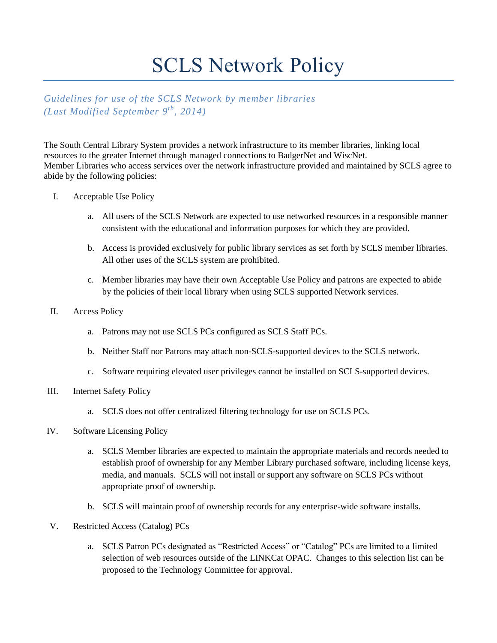## SCLS Network Policy

## *Guidelines for use of the SCLS Network by member libraries (Last Modified September 9 th , 2014)*

The South Central Library System provides a network infrastructure to its member libraries, linking local resources to the greater Internet through managed connections to BadgerNet and WiscNet. Member Libraries who access services over the network infrastructure provided and maintained by SCLS agree to abide by the following policies:

## I. Acceptable Use Policy

- a. All users of the SCLS Network are expected to use networked resources in a responsible manner consistent with the educational and information purposes for which they are provided.
- b. Access is provided exclusively for public library services as set forth by SCLS member libraries. All other uses of the SCLS system are prohibited.
- c. Member libraries may have their own Acceptable Use Policy and patrons are expected to abide by the policies of their local library when using SCLS supported Network services.

## II. Access Policy

- a. Patrons may not use SCLS PCs configured as SCLS Staff PCs.
- b. Neither Staff nor Patrons may attach non-SCLS-supported devices to the SCLS network.
- c. Software requiring elevated user privileges cannot be installed on SCLS-supported devices.
- III. Internet Safety Policy
	- a. SCLS does not offer centralized filtering technology for use on SCLS PCs.
- IV. Software Licensing Policy
	- a. SCLS Member libraries are expected to maintain the appropriate materials and records needed to establish proof of ownership for any Member Library purchased software, including license keys, media, and manuals. SCLS will not install or support any software on SCLS PCs without appropriate proof of ownership.
	- b. SCLS will maintain proof of ownership records for any enterprise-wide software installs.
- V. Restricted Access (Catalog) PCs
	- a. SCLS Patron PCs designated as "Restricted Access" or "Catalog" PCs are limited to a limited selection of web resources outside of the LINKCat OPAC. Changes to this selection list can be proposed to the Technology Committee for approval.